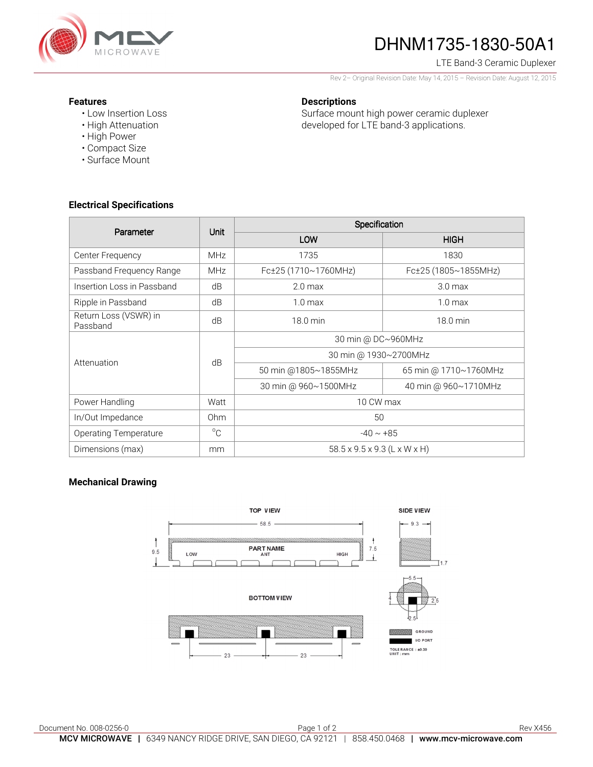

# DHNM1735-1830-50A1

#### LTE Band-3 Ceramic Duplexer

Rev 2– Original Revision Date: May 14, 2015 – Revision Date: August 12, 2015

#### **Features**

- Low Insertion Loss
- High Attenuation
- High Power
- Compact Size
- Surface Mount

## Surface mount high power ceramic duplexer developed for LTE band-3 applications.

**Descriptions** 

**Electrical Specifications** 

| Parameter                         | Unit            | Specification                |                       |
|-----------------------------------|-----------------|------------------------------|-----------------------|
|                                   |                 | LOW                          | <b>HIGH</b>           |
| Center Frequency                  | <b>MHz</b>      | 1735                         | 1830                  |
| Passband Frequency Range          | <b>MHz</b>      | Fc±25 (1710~1760MHz)         | Fc±25 (1805~1855MHz)  |
| Insertion Loss in Passband        | dB              | 2.0 <sub>max</sub>           | 3.0 <sub>max</sub>    |
| Ripple in Passband                | dB              | 1.0 <sub>max</sub>           | 1.0 <sub>max</sub>    |
| Return Loss (VSWR) in<br>Passband | dB              | 18.0 min                     | 18.0 min              |
| Attenuation                       | dB              | 30 min @ DC~960MHz           |                       |
|                                   |                 | 30 min @ 1930~2700MHz        |                       |
|                                   |                 | 50 min @1805~1855MHz         | 65 min @ 1710~1760MHz |
|                                   |                 | 30 min @ 960~1500MHz         | 40 min @ 960~1710MHz  |
| Power Handling                    | Watt            | 10 CW max                    |                       |
| In/Out Impedance                  | 0 <sub>hm</sub> | 50                           |                       |
| <b>Operating Temperature</b>      | $^{\circ}$ C    | $-40 \sim +85$               |                       |
| Dimensions (max)                  | mm              | 58.5 x 9.5 x 9.3 (L x W x H) |                       |

## **Mechanical Drawing**